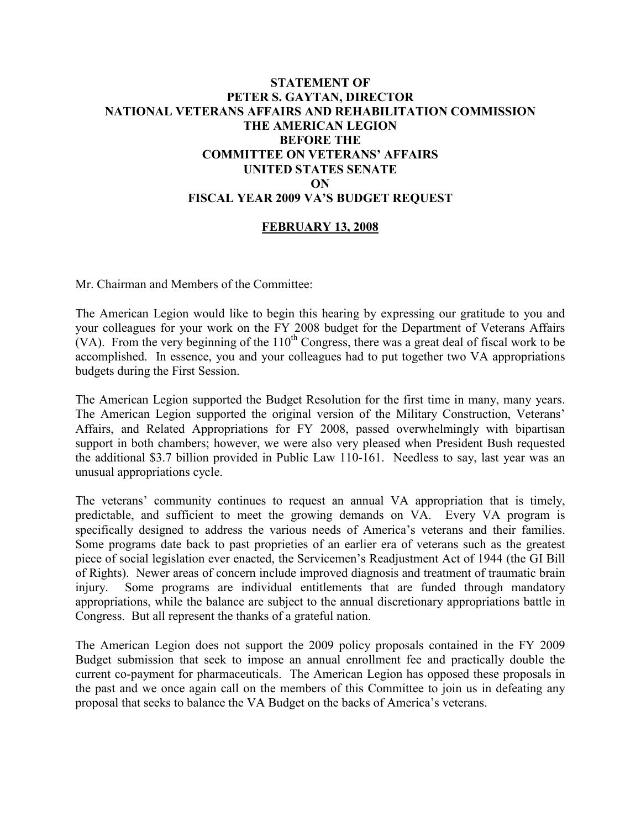## **STATEMENT OF PETER S. GAYTAN, DIRECTOR NATIONAL VETERANS AFFAIRS AND REHABILITATION COMMISSION THE AMERICAN LEGION BEFORE THE COMMITTEE ON VETERANS' AFFAIRS UNITED STATES SENATE ON FISCAL YEAR 2009 VA'S BUDGET REQUEST**

### **FEBRUARY 13, 2008**

Mr. Chairman and Members of the Committee:

The American Legion would like to begin this hearing by expressing our gratitude to you and your colleagues for your work on the FY 2008 budget for the Department of Veterans Affairs (VA). From the very beginning of the  $110<sup>th</sup>$  Congress, there was a great deal of fiscal work to be accomplished. In essence, you and your colleagues had to put together two VA appropriations budgets during the First Session.

The American Legion supported the Budget Resolution for the first time in many, many years. The American Legion supported the original version of the Military Construction, Veterans' Affairs, and Related Appropriations for FY 2008, passed overwhelmingly with bipartisan support in both chambers; however, we were also very pleased when President Bush requested the additional \$3.7 billion provided in Public Law 110-161. Needless to say, last year was an unusual appropriations cycle.

The veterans' community continues to request an annual VA appropriation that is timely, predictable, and sufficient to meet the growing demands on VA. Every VA program is specifically designed to address the various needs of America's veterans and their families. Some programs date back to past proprieties of an earlier era of veterans such as the greatest piece of social legislation ever enacted, the Servicemen's Readjustment Act of 1944 (the GI Bill of Rights). Newer areas of concern include improved diagnosis and treatment of traumatic brain injury. Some programs are individual entitlements that are funded through mandatory appropriations, while the balance are subject to the annual discretionary appropriations battle in Congress. But all represent the thanks of a grateful nation.

The American Legion does not support the 2009 policy proposals contained in the FY 2009 Budget submission that seek to impose an annual enrollment fee and practically double the current co-payment for pharmaceuticals. The American Legion has opposed these proposals in the past and we once again call on the members of this Committee to join us in defeating any proposal that seeks to balance the VA Budget on the backs of America's veterans.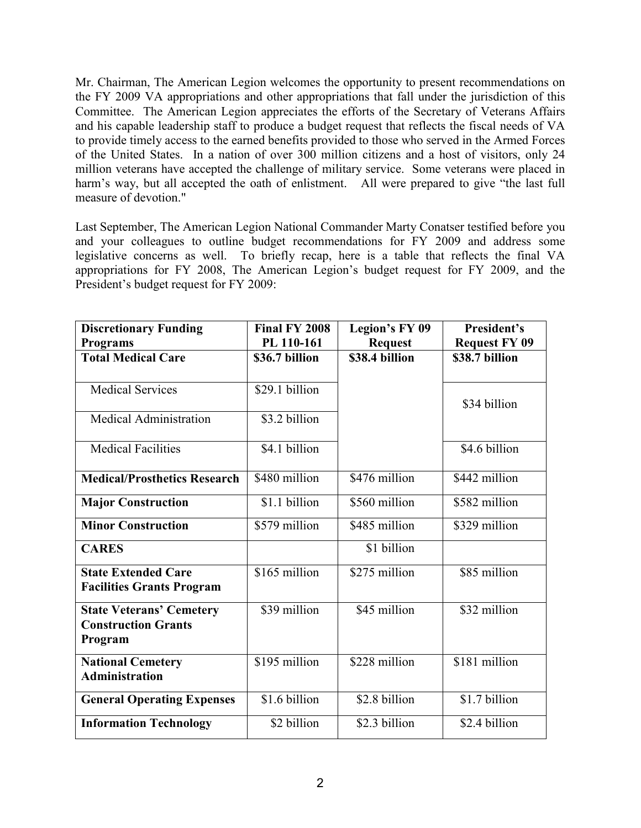Mr. Chairman, The American Legion welcomes the opportunity to present recommendations on the FY 2009 VA appropriations and other appropriations that fall under the jurisdiction of this Committee. The American Legion appreciates the efforts of the Secretary of Veterans Affairs and his capable leadership staff to produce a budget request that reflects the fiscal needs of VA to provide timely access to the earned benefits provided to those who served in the Armed Forces of the United States. In a nation of over 300 million citizens and a host of visitors, only 24 million veterans have accepted the challenge of military service. Some veterans were placed in harm's way, but all accepted the oath of enlistment. All were prepared to give "the last full measure of devotion."

Last September, The American Legion National Commander Marty Conatser testified before you and your colleagues to outline budget recommendations for FY 2009 and address some legislative concerns as well. To briefly recap, here is a table that reflects the final VA appropriations for FY 2008, The American Legion's budget request for FY 2009, and the President's budget request for FY 2009:

| <b>Discretionary Funding</b>        | <b>Final FY 2008</b> | <b>Legion's FY 09</b> | <b>President's</b>   |
|-------------------------------------|----------------------|-----------------------|----------------------|
| <b>Programs</b>                     | PL 110-161           | <b>Request</b>        | <b>Request FY 09</b> |
| <b>Total Medical Care</b>           | \$36.7 billion       | \$38.4 billion        | \$38.7 billion       |
|                                     |                      |                       |                      |
| <b>Medical Services</b>             | \$29.1 billion       |                       |                      |
|                                     |                      |                       | \$34 billion         |
| <b>Medical Administration</b>       | \$3.2 billion        |                       |                      |
|                                     |                      |                       |                      |
| <b>Medical Facilities</b>           | \$4.1 billion        |                       | \$4.6 billion        |
|                                     |                      |                       |                      |
| <b>Medical/Prosthetics Research</b> | $$480$ million       | \$476 million         | \$442 million        |
|                                     |                      |                       |                      |
| <b>Major Construction</b>           | \$1.1 billion        | \$560 million         | \$582 million        |
|                                     |                      |                       |                      |
| <b>Minor Construction</b>           | \$579 million        | \$485 million         | \$329 million        |
| <b>CARES</b>                        |                      | \$1 billion           |                      |
|                                     |                      |                       |                      |
| <b>State Extended Care</b>          | $$165$ million       | \$275 million         | \$85 million         |
| <b>Facilities Grants Program</b>    |                      |                       |                      |
|                                     | \$39 million         | \$45 million          | \$32 million         |
| <b>State Veterans' Cemetery</b>     |                      |                       |                      |
| <b>Construction Grants</b>          |                      |                       |                      |
| Program                             |                      |                       |                      |
| <b>National Cemetery</b>            | \$195 million        | \$228 million         | \$181 million        |
| <b>Administration</b>               |                      |                       |                      |
|                                     |                      |                       |                      |
| <b>General Operating Expenses</b>   | \$1.6 billion        | \$2.8 billion         | \$1.7 billion        |
| <b>Information Technology</b>       | \$2 billion          | \$2.3 billion         | \$2.4 billion        |
|                                     |                      |                       |                      |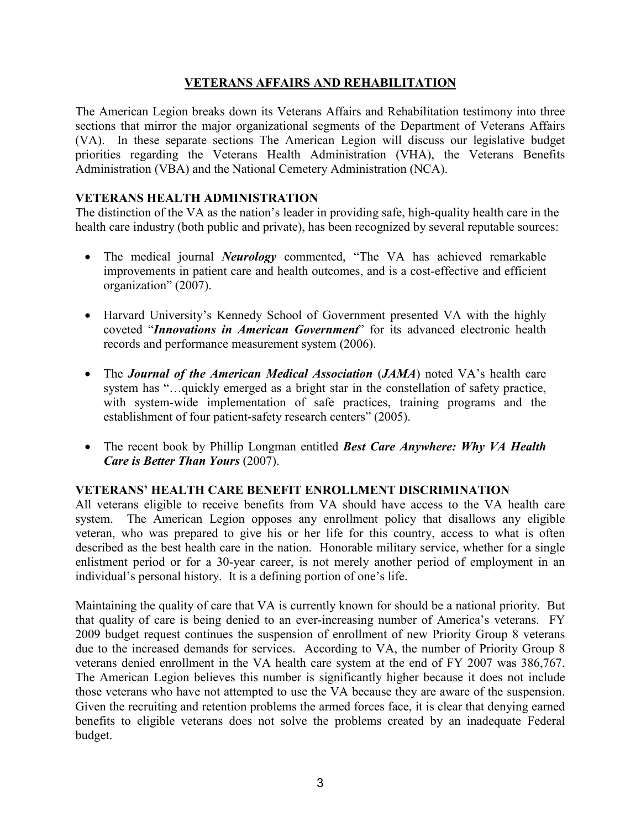### **VETERANS AFFAIRS AND REHABILITATION**

The American Legion breaks down its Veterans Affairs and Rehabilitation testimony into three sections that mirror the major organizational segments of the Department of Veterans Affairs (VA). In these separate sections The American Legion will discuss our legislative budget priorities regarding the Veterans Health Administration (VHA), the Veterans Benefits Administration (VBA) and the National Cemetery Administration (NCA).

### **VETERANS HEALTH ADMINISTRATION**

The distinction of the VA as the nation's leader in providing safe, high-quality health care in the health care industry (both public and private), has been recognized by several reputable sources:

- The medical journal *Neurology* commented, "The VA has achieved remarkable improvements in patient care and health outcomes, and is a cost-effective and efficient organization" (2007).
- Harvard University's Kennedy School of Government presented VA with the highly coveted "*Innovations in American Government*" for its advanced electronic health records and performance measurement system (2006).
- The *Journal of the American Medical Association* (*JAMA*) noted VA's health care system has "...quickly emerged as a bright star in the constellation of safety practice, with system-wide implementation of safe practices, training programs and the establishment of four patient-safety research centers" (2005).
- The recent book by Phillip Longman entitled *Best Care Anywhere: Why VA Health Care is Better Than Yours* (2007).

#### **VETERANS' HEALTH CARE BENEFIT ENROLLMENT DISCRIMINATION**

All veterans eligible to receive benefits from VA should have access to the VA health care system. The American Legion opposes any enrollment policy that disallows any eligible veteran, who was prepared to give his or her life for this country, access to what is often described as the best health care in the nation. Honorable military service, whether for a single enlistment period or for a 30-year career, is not merely another period of employment in an individual's personal history. It is a defining portion of one's life.

Maintaining the quality of care that VA is currently known for should be a national priority. But that quality of care is being denied to an ever-increasing number of America's veterans. FY 2009 budget request continues the suspension of enrollment of new Priority Group 8 veterans due to the increased demands for services. According to VA, the number of Priority Group 8 veterans denied enrollment in the VA health care system at the end of FY 2007 was 386,767. The American Legion believes this number is significantly higher because it does not include those veterans who have not attempted to use the VA because they are aware of the suspension. Given the recruiting and retention problems the armed forces face, it is clear that denying earned benefits to eligible veterans does not solve the problems created by an inadequate Federal budget.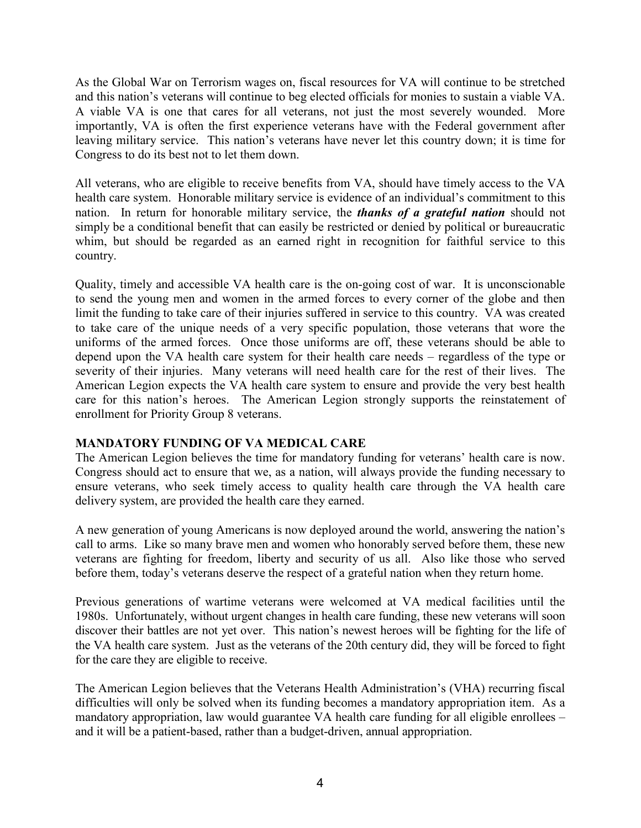As the Global War on Terrorism wages on, fiscal resources for VA will continue to be stretched and this nation's veterans will continue to beg elected officials for monies to sustain a viable VA. A viable VA is one that cares for all veterans, not just the most severely wounded. More importantly, VA is often the first experience veterans have with the Federal government after leaving military service. This nation's veterans have never let this country down; it is time for Congress to do its best not to let them down.

All veterans, who are eligible to receive benefits from VA, should have timely access to the VA health care system. Honorable military service is evidence of an individual's commitment to this nation. In return for honorable military service, the *thanks of a grateful nation* should not simply be a conditional benefit that can easily be restricted or denied by political or bureaucratic whim, but should be regarded as an earned right in recognition for faithful service to this country.

Quality, timely and accessible VA health care is the on-going cost of war. It is unconscionable to send the young men and women in the armed forces to every corner of the globe and then limit the funding to take care of their injuries suffered in service to this country. VA was created to take care of the unique needs of a very specific population, those veterans that wore the uniforms of the armed forces. Once those uniforms are off, these veterans should be able to depend upon the VA health care system for their health care needs – regardless of the type or severity of their injuries. Many veterans will need health care for the rest of their lives. The American Legion expects the VA health care system to ensure and provide the very best health care for this nation's heroes. The American Legion strongly supports the reinstatement of enrollment for Priority Group 8 veterans.

## **MANDATORY FUNDING OF VA MEDICAL CARE**

The American Legion believes the time for mandatory funding for veterans' health care is now. Congress should act to ensure that we, as a nation, will always provide the funding necessary to ensure veterans, who seek timely access to quality health care through the VA health care delivery system, are provided the health care they earned.

A new generation of young Americans is now deployed around the world, answering the nation's call to arms. Like so many brave men and women who honorably served before them, these new veterans are fighting for freedom, liberty and security of us all. Also like those who served before them, today's veterans deserve the respect of a grateful nation when they return home.

Previous generations of wartime veterans were welcomed at VA medical facilities until the 1980s. Unfortunately, without urgent changes in health care funding, these new veterans will soon discover their battles are not yet over. This nation's newest heroes will be fighting for the life of the VA health care system. Just as the veterans of the 20th century did, they will be forced to fight for the care they are eligible to receive.

The American Legion believes that the Veterans Health Administration's (VHA) recurring fiscal difficulties will only be solved when its funding becomes a mandatory appropriation item. As a mandatory appropriation, law would guarantee VA health care funding for all eligible enrollees – and it will be a patient-based, rather than a budget-driven, annual appropriation.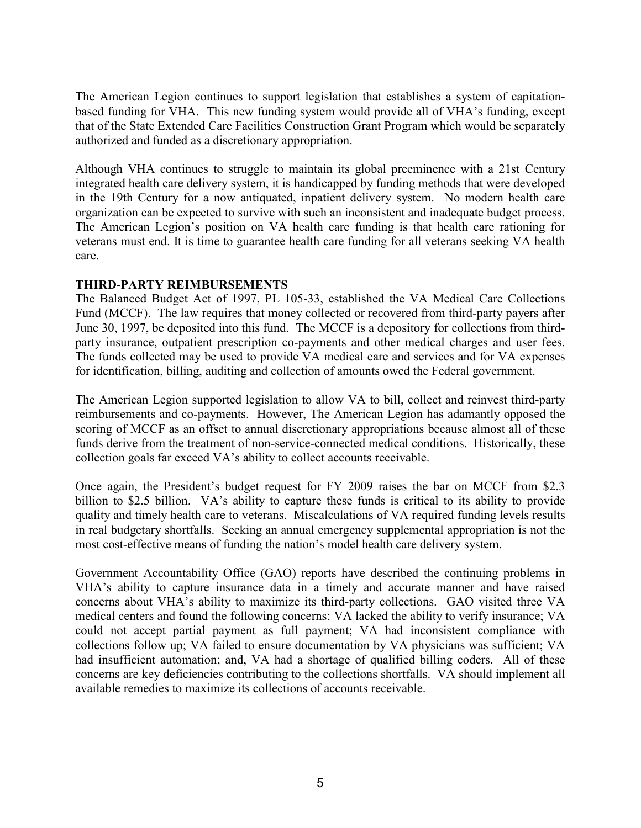The American Legion continues to support legislation that establishes a system of capitationbased funding for VHA. This new funding system would provide all of VHA's funding, except that of the State Extended Care Facilities Construction Grant Program which would be separately authorized and funded as a discretionary appropriation.

Although VHA continues to struggle to maintain its global preeminence with a 21st Century integrated health care delivery system, it is handicapped by funding methods that were developed in the 19th Century for a now antiquated, inpatient delivery system. No modern health care organization can be expected to survive with such an inconsistent and inadequate budget process. The American Legion's position on VA health care funding is that health care rationing for veterans must end. It is time to guarantee health care funding for all veterans seeking VA health care.

### **THIRD-PARTY REIMBURSEMENTS**

The Balanced Budget Act of 1997, PL 105-33, established the VA Medical Care Collections Fund (MCCF). The law requires that money collected or recovered from third-party payers after June 30, 1997, be deposited into this fund. The MCCF is a depository for collections from thirdparty insurance, outpatient prescription co-payments and other medical charges and user fees. The funds collected may be used to provide VA medical care and services and for VA expenses for identification, billing, auditing and collection of amounts owed the Federal government.

The American Legion supported legislation to allow VA to bill, collect and reinvest third-party reimbursements and co-payments. However, The American Legion has adamantly opposed the scoring of MCCF as an offset to annual discretionary appropriations because almost all of these funds derive from the treatment of non-service-connected medical conditions. Historically, these collection goals far exceed VA's ability to collect accounts receivable.

Once again, the President's budget request for FY 2009 raises the bar on MCCF from \$2.3 billion to \$2.5 billion. VA's ability to capture these funds is critical to its ability to provide quality and timely health care to veterans. Miscalculations of VA required funding levels results in real budgetary shortfalls. Seeking an annual emergency supplemental appropriation is not the most cost-effective means of funding the nation's model health care delivery system.

Government Accountability Office (GAO) reports have described the continuing problems in VHA's ability to capture insurance data in a timely and accurate manner and have raised concerns about VHA's ability to maximize its third-party collections. GAO visited three VA medical centers and found the following concerns: VA lacked the ability to verify insurance; VA could not accept partial payment as full payment; VA had inconsistent compliance with collections follow up; VA failed to ensure documentation by VA physicians was sufficient; VA had insufficient automation; and, VA had a shortage of qualified billing coders. All of these concerns are key deficiencies contributing to the collections shortfalls. VA should implement all available remedies to maximize its collections of accounts receivable.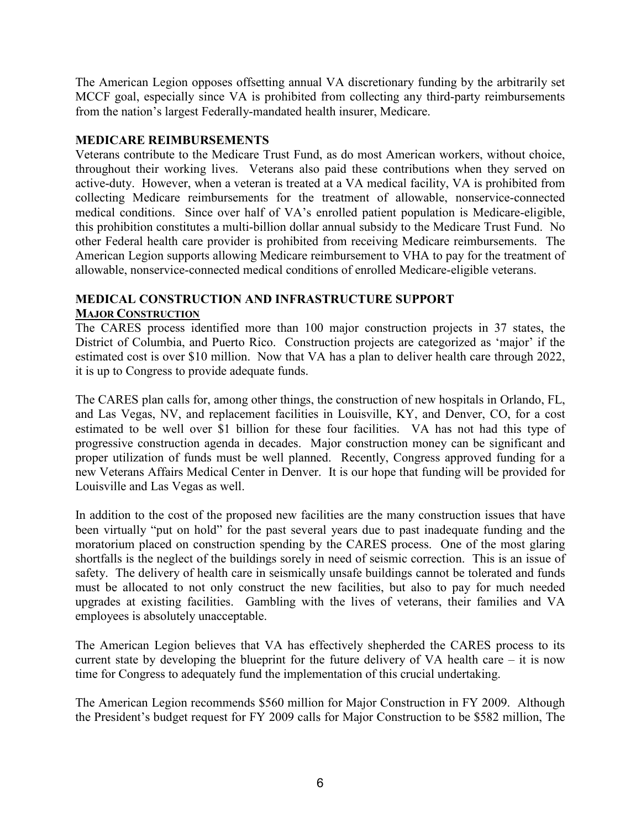The American Legion opposes offsetting annual VA discretionary funding by the arbitrarily set MCCF goal, especially since VA is prohibited from collecting any third-party reimbursements from the nation's largest Federally-mandated health insurer, Medicare.

## **MEDICARE REIMBURSEMENTS**

Veterans contribute to the Medicare Trust Fund, as do most American workers, without choice, throughout their working lives. Veterans also paid these contributions when they served on active-duty. However, when a veteran is treated at a VA medical facility, VA is prohibited from collecting Medicare reimbursements for the treatment of allowable, nonservice-connected medical conditions. Since over half of VA's enrolled patient population is Medicare-eligible, this prohibition constitutes a multi-billion dollar annual subsidy to the Medicare Trust Fund. No other Federal health care provider is prohibited from receiving Medicare reimbursements. The American Legion supports allowing Medicare reimbursement to VHA to pay for the treatment of allowable, nonservice-connected medical conditions of enrolled Medicare-eligible veterans.

# **MEDICAL CONSTRUCTION AND INFRASTRUCTURE SUPPORT MAJOR CONSTRUCTION**

The CARES process identified more than 100 major construction projects in 37 states, the District of Columbia, and Puerto Rico. Construction projects are categorized as 'major' if the estimated cost is over \$10 million. Now that VA has a plan to deliver health care through 2022, it is up to Congress to provide adequate funds.

The CARES plan calls for, among other things, the construction of new hospitals in Orlando, FL, and Las Vegas, NV, and replacement facilities in Louisville, KY, and Denver, CO, for a cost estimated to be well over \$1 billion for these four facilities. VA has not had this type of progressive construction agenda in decades. Major construction money can be significant and proper utilization of funds must be well planned. Recently, Congress approved funding for a new Veterans Affairs Medical Center in Denver. It is our hope that funding will be provided for Louisville and Las Vegas as well.

In addition to the cost of the proposed new facilities are the many construction issues that have been virtually "put on hold" for the past several years due to past inadequate funding and the moratorium placed on construction spending by the CARES process. One of the most glaring shortfalls is the neglect of the buildings sorely in need of seismic correction. This is an issue of safety. The delivery of health care in seismically unsafe buildings cannot be tolerated and funds must be allocated to not only construct the new facilities, but also to pay for much needed upgrades at existing facilities. Gambling with the lives of veterans, their families and VA employees is absolutely unacceptable.

The American Legion believes that VA has effectively shepherded the CARES process to its current state by developing the blueprint for the future delivery of VA health care – it is now time for Congress to adequately fund the implementation of this crucial undertaking.

The American Legion recommends \$560 million for Major Construction in FY 2009. Although the President's budget request for FY 2009 calls for Major Construction to be \$582 million, The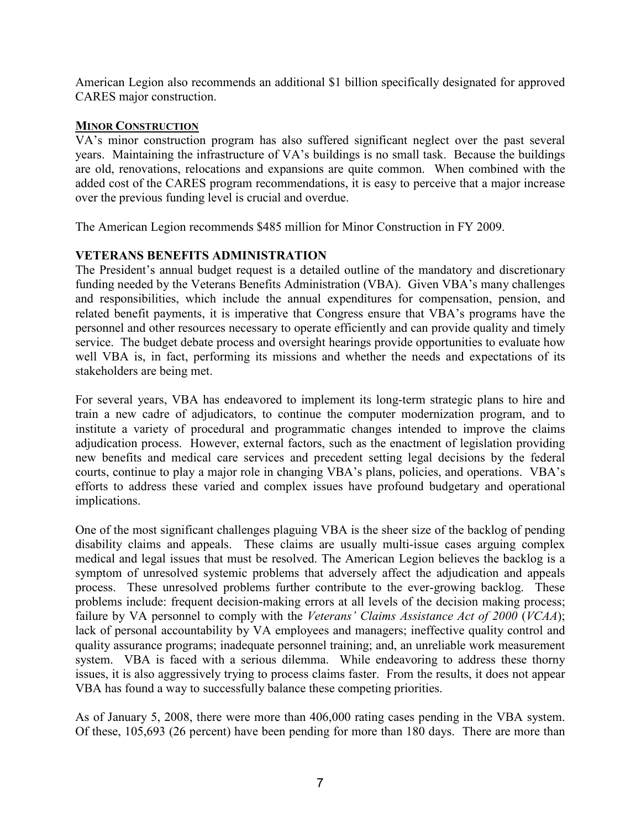American Legion also recommends an additional \$1 billion specifically designated for approved CARES major construction.

### **MINOR CONSTRUCTION**

VA's minor construction program has also suffered significant neglect over the past several years. Maintaining the infrastructure of VA's buildings is no small task. Because the buildings are old, renovations, relocations and expansions are quite common. When combined with the added cost of the CARES program recommendations, it is easy to perceive that a major increase over the previous funding level is crucial and overdue.

The American Legion recommends \$485 million for Minor Construction in FY 2009.

# **VETERANS BENEFITS ADMINISTRATION**

The President's annual budget request is a detailed outline of the mandatory and discretionary funding needed by the Veterans Benefits Administration (VBA). Given VBA's many challenges and responsibilities, which include the annual expenditures for compensation, pension, and related benefit payments, it is imperative that Congress ensure that VBA's programs have the personnel and other resources necessary to operate efficiently and can provide quality and timely service. The budget debate process and oversight hearings provide opportunities to evaluate how well VBA is, in fact, performing its missions and whether the needs and expectations of its stakeholders are being met.

For several years, VBA has endeavored to implement its long-term strategic plans to hire and train a new cadre of adjudicators, to continue the computer modernization program, and to institute a variety of procedural and programmatic changes intended to improve the claims adjudication process. However, external factors, such as the enactment of legislation providing new benefits and medical care services and precedent setting legal decisions by the federal courts, continue to play a major role in changing VBA's plans, policies, and operations. VBA's efforts to address these varied and complex issues have profound budgetary and operational implications.

One of the most significant challenges plaguing VBA is the sheer size of the backlog of pending disability claims and appeals. These claims are usually multi-issue cases arguing complex medical and legal issues that must be resolved. The American Legion believes the backlog is a symptom of unresolved systemic problems that adversely affect the adjudication and appeals process. These unresolved problems further contribute to the ever-growing backlog. These problems include: frequent decision-making errors at all levels of the decision making process; failure by VA personnel to comply with the *Veterans' Claims Assistance Act of 2000* (*VCAA*); lack of personal accountability by VA employees and managers; ineffective quality control and quality assurance programs; inadequate personnel training; and, an unreliable work measurement system. VBA is faced with a serious dilemma. While endeavoring to address these thorny issues, it is also aggressively trying to process claims faster. From the results, it does not appear VBA has found a way to successfully balance these competing priorities.

As of January 5, 2008, there were more than 406,000 rating cases pending in the VBA system. Of these, 105,693 (26 percent) have been pending for more than 180 days. There are more than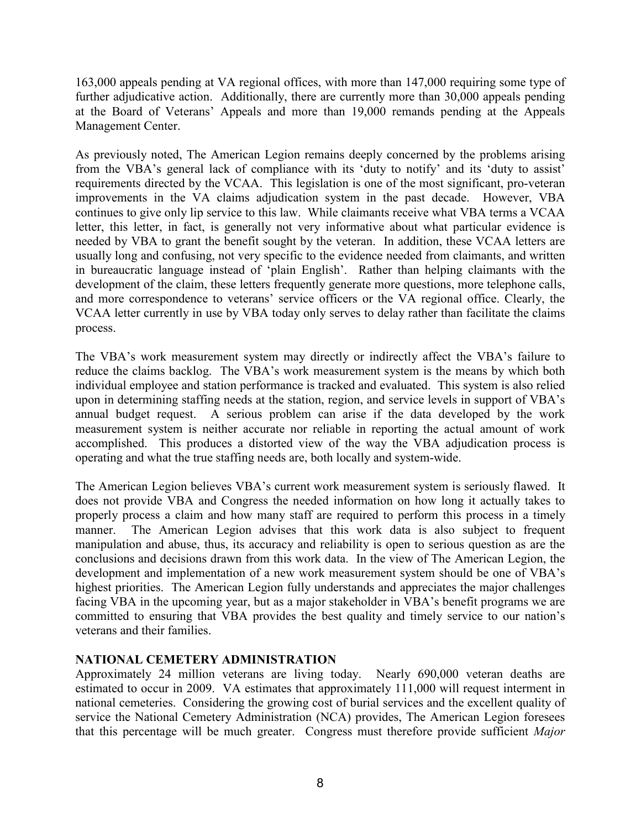163,000 appeals pending at VA regional offices, with more than 147,000 requiring some type of further adjudicative action. Additionally, there are currently more than 30,000 appeals pending at the Board of Veterans' Appeals and more than 19,000 remands pending at the Appeals Management Center.

As previously noted, The American Legion remains deeply concerned by the problems arising from the VBA's general lack of compliance with its 'duty to notify' and its 'duty to assist' requirements directed by the VCAA. This legislation is one of the most significant, pro-veteran improvements in the VA claims adjudication system in the past decade. However, VBA continues to give only lip service to this law. While claimants receive what VBA terms a VCAA letter, this letter, in fact, is generally not very informative about what particular evidence is needed by VBA to grant the benefit sought by the veteran. In addition, these VCAA letters are usually long and confusing, not very specific to the evidence needed from claimants, and written in bureaucratic language instead of 'plain English'. Rather than helping claimants with the development of the claim, these letters frequently generate more questions, more telephone calls, and more correspondence to veterans' service officers or the VA regional office. Clearly, the VCAA letter currently in use by VBA today only serves to delay rather than facilitate the claims process.

The VBA's work measurement system may directly or indirectly affect the VBA's failure to reduce the claims backlog. The VBA's work measurement system is the means by which both individual employee and station performance is tracked and evaluated. This system is also relied upon in determining staffing needs at the station, region, and service levels in support of VBA's annual budget request. A serious problem can arise if the data developed by the work measurement system is neither accurate nor reliable in reporting the actual amount of work accomplished. This produces a distorted view of the way the VBA adjudication process is operating and what the true staffing needs are, both locally and system-wide.

The American Legion believes VBA's current work measurement system is seriously flawed. It does not provide VBA and Congress the needed information on how long it actually takes to properly process a claim and how many staff are required to perform this process in a timely manner. The American Legion advises that this work data is also subject to frequent manipulation and abuse, thus, its accuracy and reliability is open to serious question as are the conclusions and decisions drawn from this work data. In the view of The American Legion, the development and implementation of a new work measurement system should be one of VBA's highest priorities. The American Legion fully understands and appreciates the major challenges facing VBA in the upcoming year, but as a major stakeholder in VBA's benefit programs we are committed to ensuring that VBA provides the best quality and timely service to our nation's veterans and their families.

## **NATIONAL CEMETERY ADMINISTRATION**

Approximately 24 million veterans are living today. Nearly 690,000 veteran deaths are estimated to occur in 2009. VA estimates that approximately 111,000 will request interment in national cemeteries. Considering the growing cost of burial services and the excellent quality of service the National Cemetery Administration (NCA) provides, The American Legion foresees that this percentage will be much greater. Congress must therefore provide sufficient *Major*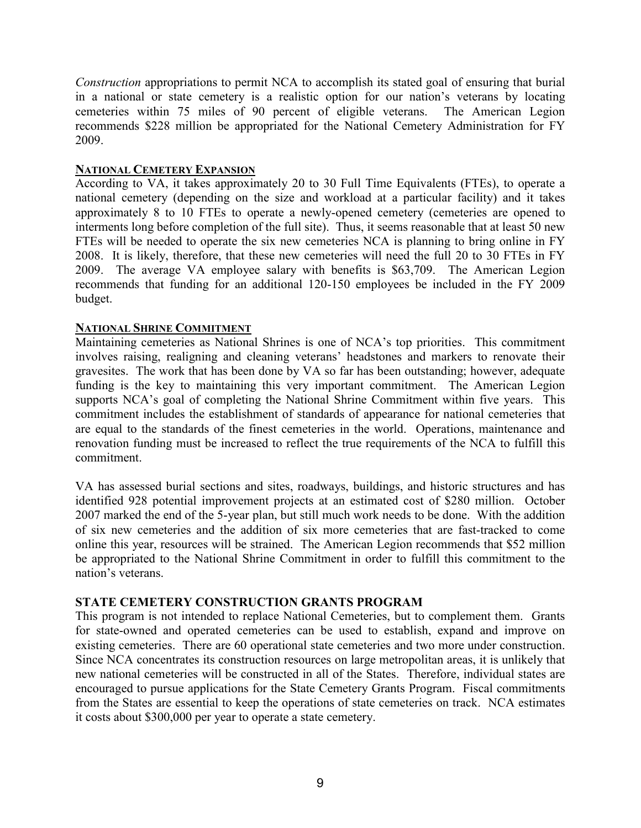*Construction* appropriations to permit NCA to accomplish its stated goal of ensuring that burial in a national or state cemetery is a realistic option for our nation's veterans by locating cemeteries within 75 miles of 90 percent of eligible veterans. The American Legion recommends \$228 million be appropriated for the National Cemetery Administration for FY 2009.

#### **NATIONAL CEMETERY EXPANSION**

According to VA, it takes approximately 20 to 30 Full Time Equivalents (FTEs), to operate a national cemetery (depending on the size and workload at a particular facility) and it takes approximately 8 to 10 FTEs to operate a newly-opened cemetery (cemeteries are opened to interments long before completion of the full site). Thus, it seems reasonable that at least 50 new FTEs will be needed to operate the six new cemeteries NCA is planning to bring online in FY 2008. It is likely, therefore, that these new cemeteries will need the full 20 to 30 FTEs in FY 2009. The average VA employee salary with benefits is \$63,709. The American Legion recommends that funding for an additional 120-150 employees be included in the FY 2009 budget.

### **NATIONAL SHRINE COMMITMENT**

Maintaining cemeteries as National Shrines is one of NCA's top priorities. This commitment involves raising, realigning and cleaning veterans' headstones and markers to renovate their gravesites. The work that has been done by VA so far has been outstanding; however, adequate funding is the key to maintaining this very important commitment. The American Legion supports NCA's goal of completing the National Shrine Commitment within five years. This commitment includes the establishment of standards of appearance for national cemeteries that are equal to the standards of the finest cemeteries in the world. Operations, maintenance and renovation funding must be increased to reflect the true requirements of the NCA to fulfill this commitment.

VA has assessed burial sections and sites, roadways, buildings, and historic structures and has identified 928 potential improvement projects at an estimated cost of \$280 million. October 2007 marked the end of the 5-year plan, but still much work needs to be done. With the addition of six new cemeteries and the addition of six more cemeteries that are fast-tracked to come online this year, resources will be strained. The American Legion recommends that \$52 million be appropriated to the National Shrine Commitment in order to fulfill this commitment to the nation's veterans.

#### **STATE CEMETERY CONSTRUCTION GRANTS PROGRAM**

This program is not intended to replace National Cemeteries, but to complement them. Grants for state-owned and operated cemeteries can be used to establish, expand and improve on existing cemeteries. There are 60 operational state cemeteries and two more under construction. Since NCA concentrates its construction resources on large metropolitan areas, it is unlikely that new national cemeteries will be constructed in all of the States. Therefore, individual states are encouraged to pursue applications for the State Cemetery Grants Program. Fiscal commitments from the States are essential to keep the operations of state cemeteries on track. NCA estimates it costs about \$300,000 per year to operate a state cemetery.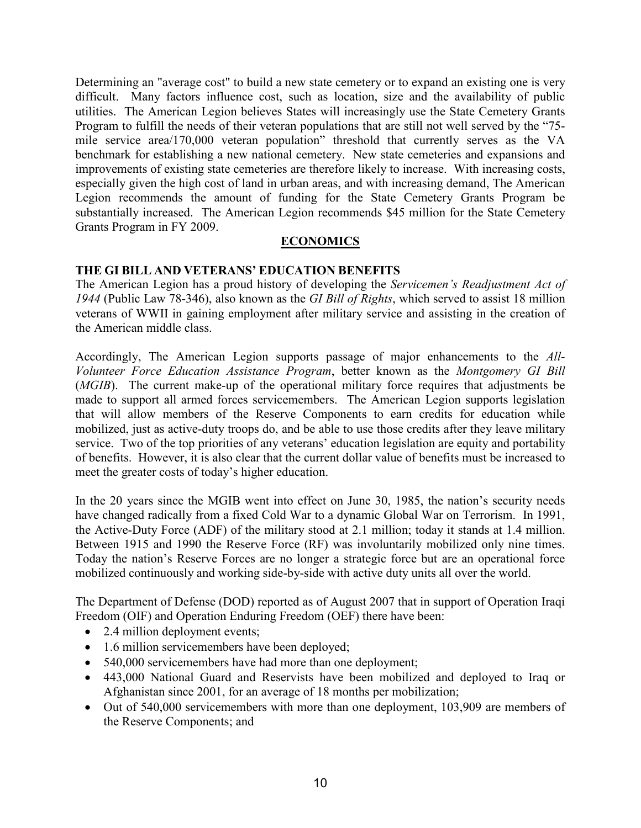Determining an "average cost" to build a new state cemetery or to expand an existing one is very difficult. Many factors influence cost, such as location, size and the availability of public utilities. The American Legion believes States will increasingly use the State Cemetery Grants Program to fulfill the needs of their veteran populations that are still not well served by the "75 mile service area/170,000 veteran population" threshold that currently serves as the VA benchmark for establishing a new national cemetery. New state cemeteries and expansions and improvements of existing state cemeteries are therefore likely to increase. With increasing costs, especially given the high cost of land in urban areas, and with increasing demand, The American Legion recommends the amount of funding for the State Cemetery Grants Program be substantially increased. The American Legion recommends \$45 million for the State Cemetery Grants Program in FY 2009.

## **ECONOMICS**

### **THE GI BILL AND VETERANS' EDUCATION BENEFITS**

The American Legion has a proud history of developing the *Servicemen's Readjustment Act of 1944* (Public Law 78-346), also known as the *GI Bill of Rights*, which served to assist 18 million veterans of WWII in gaining employment after military service and assisting in the creation of the American middle class.

Accordingly, The American Legion supports passage of major enhancements to the *All*-*Volunteer Force Education Assistance Program*, better known as the *Montgomery GI Bill* (*MGIB*). The current make-up of the operational military force requires that adjustments be made to support all armed forces servicemembers. The American Legion supports legislation that will allow members of the Reserve Components to earn credits for education while mobilized, just as active-duty troops do, and be able to use those credits after they leave military service. Two of the top priorities of any veterans' education legislation are equity and portability of benefits. However, it is also clear that the current dollar value of benefits must be increased to meet the greater costs of today's higher education.

In the 20 years since the MGIB went into effect on June 30, 1985, the nation's security needs have changed radically from a fixed Cold War to a dynamic Global War on Terrorism. In 1991, the Active-Duty Force (ADF) of the military stood at 2.1 million; today it stands at 1.4 million. Between 1915 and 1990 the Reserve Force (RF) was involuntarily mobilized only nine times. Today the nation's Reserve Forces are no longer a strategic force but are an operational force mobilized continuously and working side-by-side with active duty units all over the world.

The Department of Defense (DOD) reported as of August 2007 that in support of Operation Iraqi Freedom (OIF) and Operation Enduring Freedom (OEF) there have been:

- 2.4 million deployment events;
- 1.6 million servicemembers have been deployed;
- 540,000 servicemembers have had more than one deployment;
- 443,000 National Guard and Reservists have been mobilized and deployed to Iraq or Afghanistan since 2001, for an average of 18 months per mobilization;
- Out of 540,000 servicemembers with more than one deployment, 103,909 are members of the Reserve Components; and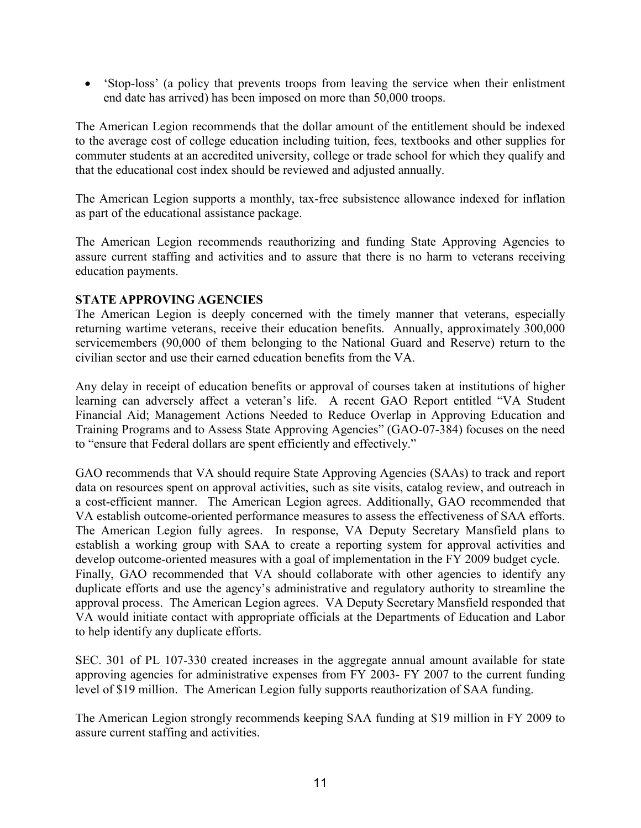• 'Stop-loss' (a policy that prevents troops from leaving the service when their enlistment end date has arrived) has been imposed on more than 50,000 troops.

The American Legion recommends that the dollar amount of the entitlement should be indexed to the average cost of college education including tuition, fees, textbooks and other supplies for commuter students at an accredited university, college or trade school for which they qualify and that the educational cost index should be reviewed and adjusted annually.

The American Legion supports a monthly, tax-free subsistence allowance indexed for inflation as part of the educational assistance package.

The American Legion recommends reauthorizing and funding State Approving Agencies to assure current staffing and activities and to assure that there is no harm to veterans receiving education payments.

### **STATE APPROVING AGENCIES**

The American Legion is deeply concerned with the timely manner that veterans, especially returning wartime veterans, receive their education benefits. Annually, approximately 300,000 servicemembers (90,000 of them belonging to the National Guard and Reserve) return to the civilian sector and use their earned education benefits from the VA.

Any delay in receipt of education benefits or approval of courses taken at institutions of higher learning can adversely affect a veteran's life. A recent GAO Report entitled "VA Student Financial Aid; Management Actions Needed to Reduce Overlap in Approving Education and Training Programs and to Assess State Approving Agencies" (GAO-07-384) focuses on the need to "ensure that Federal dollars are spent efficiently and effectively."

GAO recommends that VA should require State Approving Agencies (SAAs) to track and report data on resources spent on approval activities, such as site visits, catalog review, and outreach in a cost-efficient manner. The American Legion agrees. Additionally, GAO recommended that VA establish outcome-oriented performance measures to assess the effectiveness of SAA efforts. The American Legion fully agrees. In response, VA Deputy Secretary Mansfield plans to establish a working group with SAA to create a reporting system for approval activities and develop outcome-oriented measures with a goal of implementation in the FY 2009 budget cycle. Finally, GAO recommended that VA should collaborate with other agencies to identify any duplicate efforts and use the agency's administrative and regulatory authority to streamline the approval process. The American Legion agrees. VA Deputy Secretary Mansfield responded that VA would initiate contact with appropriate officials at the Departments of Education and Labor to help identify any duplicate efforts.

SEC. 301 of PL 107-330 created increases in the aggregate annual amount available for state approving agencies for administrative expenses from FY 2003- FY 2007 to the current funding level of \$19 million. The American Legion fully supports reauthorization of SAA funding.

The American Legion strongly recommends keeping SAA funding at \$19 million in FY 2009 to assure current staffing and activities.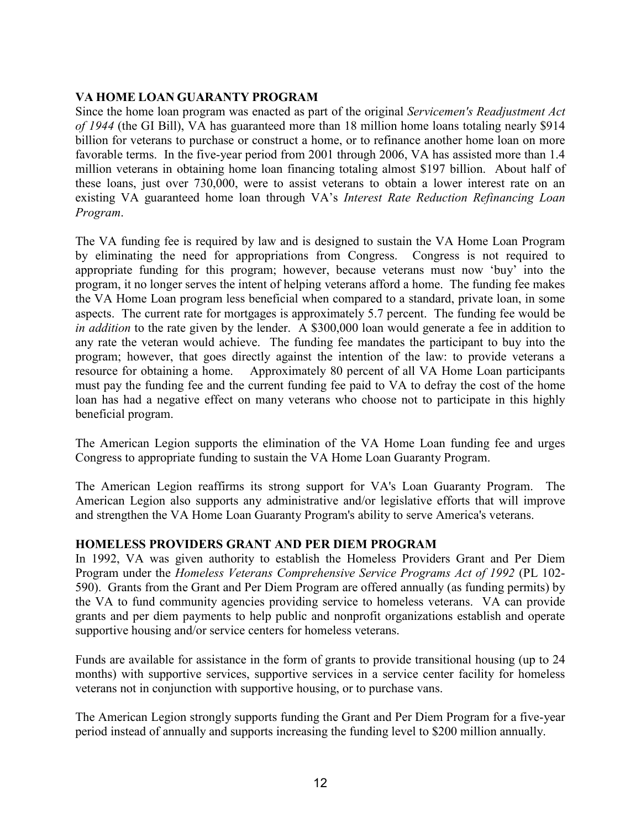## **VA HOME LOAN GUARANTY PROGRAM**

Since the home loan program was enacted as part of the original *Servicemen's Readjustment Act of 1944* (the GI Bill), VA has guaranteed more than 18 million home loans totaling nearly \$914 billion for veterans to purchase or construct a home, or to refinance another home loan on more favorable terms. In the five-year period from 2001 through 2006, VA has assisted more than 1.4 million veterans in obtaining home loan financing totaling almost \$197 billion. About half of these loans, just over 730,000, were to assist veterans to obtain a lower interest rate on an existing VA guaranteed home loan through VA's *Interest Rate Reduction Refinancing Loan Program*.

The VA funding fee is required by law and is designed to sustain the VA Home Loan Program by eliminating the need for appropriations from Congress. Congress is not required to appropriate funding for this program; however, because veterans must now 'buy' into the program, it no longer serves the intent of helping veterans afford a home. The funding fee makes the VA Home Loan program less beneficial when compared to a standard, private loan, in some aspects. The current rate for mortgages is approximately 5.7 percent. The funding fee would be *in addition* to the rate given by the lender. A \$300,000 loan would generate a fee in addition to any rate the veteran would achieve. The funding fee mandates the participant to buy into the program; however, that goes directly against the intention of the law: to provide veterans a resource for obtaining a home. Approximately 80 percent of all VA Home Loan participants must pay the funding fee and the current funding fee paid to VA to defray the cost of the home loan has had a negative effect on many veterans who choose not to participate in this highly beneficial program.

The American Legion supports the elimination of the VA Home Loan funding fee and urges Congress to appropriate funding to sustain the VA Home Loan Guaranty Program.

The American Legion reaffirms its strong support for VA's Loan Guaranty Program. The American Legion also supports any administrative and/or legislative efforts that will improve and strengthen the VA Home Loan Guaranty Program's ability to serve America's veterans.

## **HOMELESS PROVIDERS GRANT AND PER DIEM PROGRAM**

In 1992, VA was given authority to establish the Homeless Providers Grant and Per Diem Program under the *Homeless Veterans Comprehensive Service Programs Act of 1992* (PL 102- 590). Grants from the Grant and Per Diem Program are offered annually (as funding permits) by the VA to fund community agencies providing service to homeless veterans. VA can provide grants and per diem payments to help public and nonprofit organizations establish and operate supportive housing and/or service centers for homeless veterans.

Funds are available for assistance in the form of grants to provide transitional housing (up to 24 months) with supportive services, supportive services in a service center facility for homeless veterans not in conjunction with supportive housing, or to purchase vans.

The American Legion strongly supports funding the Grant and Per Diem Program for a five-year period instead of annually and supports increasing the funding level to \$200 million annually.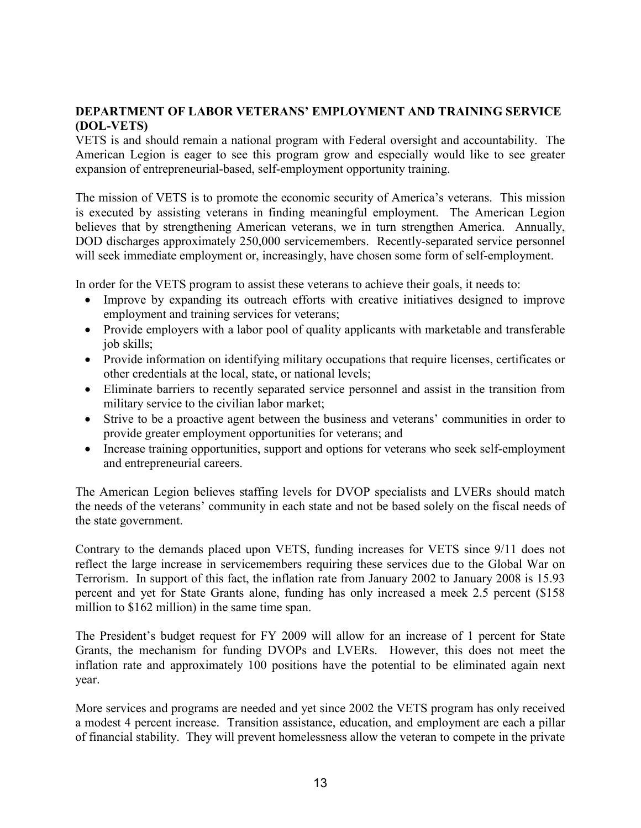## **DEPARTMENT OF LABOR VETERANS' EMPLOYMENT AND TRAINING SERVICE (DOL-VETS)**

VETS is and should remain a national program with Federal oversight and accountability. The American Legion is eager to see this program grow and especially would like to see greater expansion of entrepreneurial-based, self-employment opportunity training.

The mission of VETS is to promote the economic security of America's veterans. This mission is executed by assisting veterans in finding meaningful employment. The American Legion believes that by strengthening American veterans, we in turn strengthen America. Annually, DOD discharges approximately 250,000 servicemembers. Recently-separated service personnel will seek immediate employment or, increasingly, have chosen some form of self-employment.

In order for the VETS program to assist these veterans to achieve their goals, it needs to:

- Improve by expanding its outreach efforts with creative initiatives designed to improve employment and training services for veterans;
- Provide employers with a labor pool of quality applicants with marketable and transferable job skills;
- Provide information on identifying military occupations that require licenses, certificates or other credentials at the local, state, or national levels;
- Eliminate barriers to recently separated service personnel and assist in the transition from military service to the civilian labor market;
- Strive to be a proactive agent between the business and veterans' communities in order to provide greater employment opportunities for veterans; and
- Increase training opportunities, support and options for veterans who seek self-employment and entrepreneurial careers.

The American Legion believes staffing levels for DVOP specialists and LVERs should match the needs of the veterans' community in each state and not be based solely on the fiscal needs of the state government.

Contrary to the demands placed upon VETS, funding increases for VETS since 9/11 does not reflect the large increase in servicemembers requiring these services due to the Global War on Terrorism. In support of this fact, the inflation rate from January 2002 to January 2008 is 15.93 percent and yet for State Grants alone, funding has only increased a meek 2.5 percent (\$158 million to \$162 million) in the same time span.

The President's budget request for FY 2009 will allow for an increase of 1 percent for State Grants, the mechanism for funding DVOPs and LVERs. However, this does not meet the inflation rate and approximately 100 positions have the potential to be eliminated again next year.

More services and programs are needed and yet since 2002 the VETS program has only received a modest 4 percent increase. Transition assistance, education, and employment are each a pillar of financial stability. They will prevent homelessness allow the veteran to compete in the private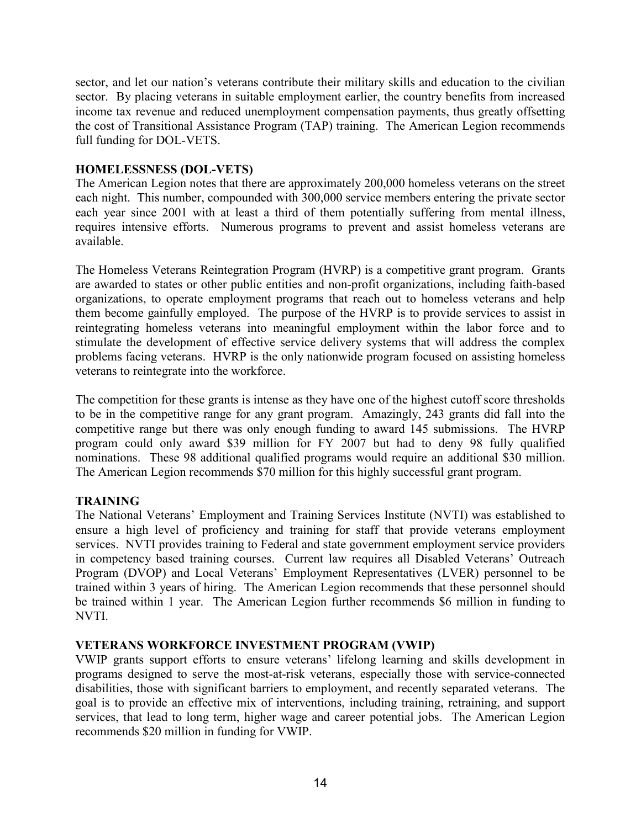sector, and let our nation's veterans contribute their military skills and education to the civilian sector. By placing veterans in suitable employment earlier, the country benefits from increased income tax revenue and reduced unemployment compensation payments, thus greatly offsetting the cost of Transitional Assistance Program (TAP) training. The American Legion recommends full funding for DOL-VETS.

## **HOMELESSNESS (DOL-VETS)**

The American Legion notes that there are approximately 200,000 homeless veterans on the street each night. This number, compounded with 300,000 service members entering the private sector each year since 2001 with at least a third of them potentially suffering from mental illness, requires intensive efforts. Numerous programs to prevent and assist homeless veterans are available.

The Homeless Veterans Reintegration Program (HVRP) is a competitive grant program. Grants are awarded to states or other public entities and non-profit organizations, including faith-based organizations, to operate employment programs that reach out to homeless veterans and help them become gainfully employed. The purpose of the HVRP is to provide services to assist in reintegrating homeless veterans into meaningful employment within the labor force and to stimulate the development of effective service delivery systems that will address the complex problems facing veterans. HVRP is the only nationwide program focused on assisting homeless veterans to reintegrate into the workforce.

The competition for these grants is intense as they have one of the highest cutoff score thresholds to be in the competitive range for any grant program. Amazingly, 243 grants did fall into the competitive range but there was only enough funding to award 145 submissions. The HVRP program could only award \$39 million for FY 2007 but had to deny 98 fully qualified nominations. These 98 additional qualified programs would require an additional \$30 million. The American Legion recommends \$70 million for this highly successful grant program.

# **TRAINING**

The National Veterans' Employment and Training Services Institute (NVTI) was established to ensure a high level of proficiency and training for staff that provide veterans employment services. NVTI provides training to Federal and state government employment service providers in competency based training courses. Current law requires all Disabled Veterans' Outreach Program (DVOP) and Local Veterans' Employment Representatives (LVER) personnel to be trained within 3 years of hiring. The American Legion recommends that these personnel should be trained within 1 year. The American Legion further recommends \$6 million in funding to NVTI.

## **VETERANS WORKFORCE INVESTMENT PROGRAM (VWIP)**

VWIP grants support efforts to ensure veterans' lifelong learning and skills development in programs designed to serve the most-at-risk veterans, especially those with service-connected disabilities, those with significant barriers to employment, and recently separated veterans. The goal is to provide an effective mix of interventions, including training, retraining, and support services, that lead to long term, higher wage and career potential jobs. The American Legion recommends \$20 million in funding for VWIP.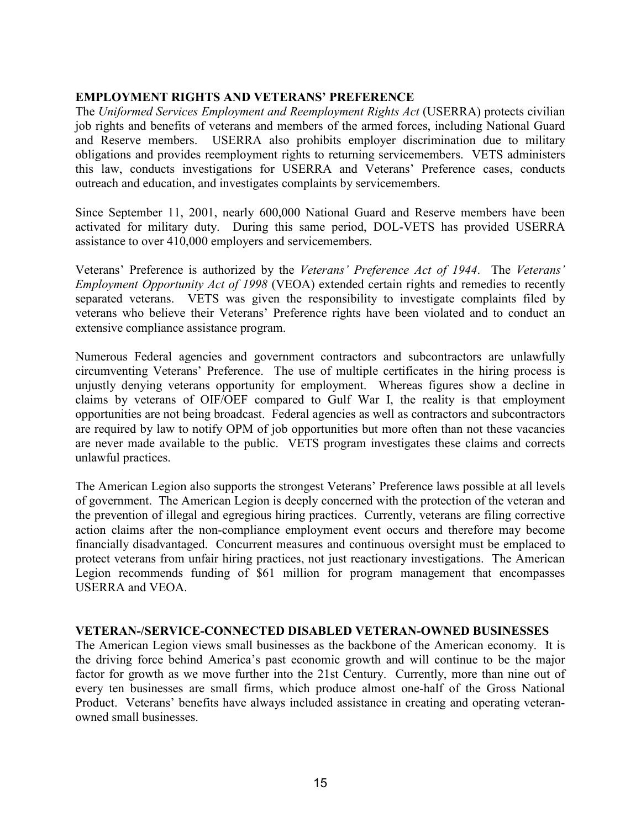### **EMPLOYMENT RIGHTS AND VETERANS' PREFERENCE**

The *Uniformed Services Employment and Reemployment Rights Act* (USERRA) protects civilian job rights and benefits of veterans and members of the armed forces, including National Guard and Reserve members. USERRA also prohibits employer discrimination due to military obligations and provides reemployment rights to returning servicemembers. VETS administers this law, conducts investigations for USERRA and Veterans' Preference cases, conducts outreach and education, and investigates complaints by servicemembers.

Since September 11, 2001, nearly 600,000 National Guard and Reserve members have been activated for military duty. During this same period, DOL-VETS has provided USERRA assistance to over 410,000 employers and servicemembers.

Veterans' Preference is authorized by the *Veterans' Preference Act of 1944*. The *Veterans' Employment Opportunity Act of 1998* (VEOA) extended certain rights and remedies to recently separated veterans. VETS was given the responsibility to investigate complaints filed by veterans who believe their Veterans' Preference rights have been violated and to conduct an extensive compliance assistance program.

Numerous Federal agencies and government contractors and subcontractors are unlawfully circumventing Veterans' Preference. The use of multiple certificates in the hiring process is unjustly denying veterans opportunity for employment. Whereas figures show a decline in claims by veterans of OIF/OEF compared to Gulf War I, the reality is that employment opportunities are not being broadcast. Federal agencies as well as contractors and subcontractors are required by law to notify OPM of job opportunities but more often than not these vacancies are never made available to the public. VETS program investigates these claims and corrects unlawful practices.

The American Legion also supports the strongest Veterans' Preference laws possible at all levels of government. The American Legion is deeply concerned with the protection of the veteran and the prevention of illegal and egregious hiring practices. Currently, veterans are filing corrective action claims after the non-compliance employment event occurs and therefore may become financially disadvantaged. Concurrent measures and continuous oversight must be emplaced to protect veterans from unfair hiring practices, not just reactionary investigations. The American Legion recommends funding of \$61 million for program management that encompasses USERRA and VEOA.

#### **VETERAN-/SERVICE-CONNECTED DISABLED VETERAN-OWNED BUSINESSES**

The American Legion views small businesses as the backbone of the American economy. It is the driving force behind America's past economic growth and will continue to be the major factor for growth as we move further into the 21st Century. Currently, more than nine out of every ten businesses are small firms, which produce almost one-half of the Gross National Product. Veterans' benefits have always included assistance in creating and operating veteranowned small businesses.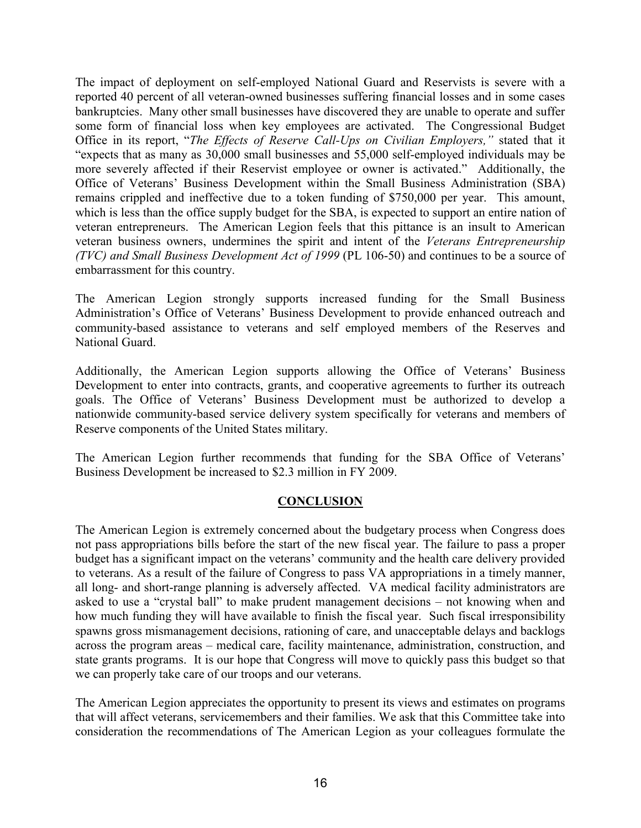The impact of deployment on self-employed National Guard and Reservists is severe with a reported 40 percent of all veteran-owned businesses suffering financial losses and in some cases bankruptcies. Many other small businesses have discovered they are unable to operate and suffer some form of financial loss when key employees are activated. The Congressional Budget Office in its report, "*The Effects of Reserve Call-Ups on Civilian Employers,"* stated that it "expects that as many as 30,000 small businesses and 55,000 self-employed individuals may be more severely affected if their Reservist employee or owner is activated." Additionally, the Office of Veterans' Business Development within the Small Business Administration (SBA) remains crippled and ineffective due to a token funding of \$750,000 per year. This amount, which is less than the office supply budget for the SBA, is expected to support an entire nation of veteran entrepreneurs. The American Legion feels that this pittance is an insult to American veteran business owners, undermines the spirit and intent of the *Veterans Entrepreneurship (TVC) and Small Business Development Act of 1999* (PL 106-50) and continues to be a source of embarrassment for this country.

The American Legion strongly supports increased funding for the Small Business Administration's Office of Veterans' Business Development to provide enhanced outreach and community-based assistance to veterans and self employed members of the Reserves and National Guard.

Additionally, the American Legion supports allowing the Office of Veterans' Business Development to enter into contracts, grants, and cooperative agreements to further its outreach goals. The Office of Veterans' Business Development must be authorized to develop a nationwide community-based service delivery system specifically for veterans and members of Reserve components of the United States military.

The American Legion further recommends that funding for the SBA Office of Veterans' Business Development be increased to \$2.3 million in FY 2009.

## **CONCLUSION**

The American Legion is extremely concerned about the budgetary process when Congress does not pass appropriations bills before the start of the new fiscal year. The failure to pass a proper budget has a significant impact on the veterans' community and the health care delivery provided to veterans. As a result of the failure of Congress to pass VA appropriations in a timely manner, all long- and short-range planning is adversely affected. VA medical facility administrators are asked to use a "crystal ball" to make prudent management decisions – not knowing when and how much funding they will have available to finish the fiscal year. Such fiscal irresponsibility spawns gross mismanagement decisions, rationing of care, and unacceptable delays and backlogs across the program areas – medical care, facility maintenance, administration, construction, and state grants programs. It is our hope that Congress will move to quickly pass this budget so that we can properly take care of our troops and our veterans.

The American Legion appreciates the opportunity to present its views and estimates on programs that will affect veterans, servicemembers and their families. We ask that this Committee take into consideration the recommendations of The American Legion as your colleagues formulate the